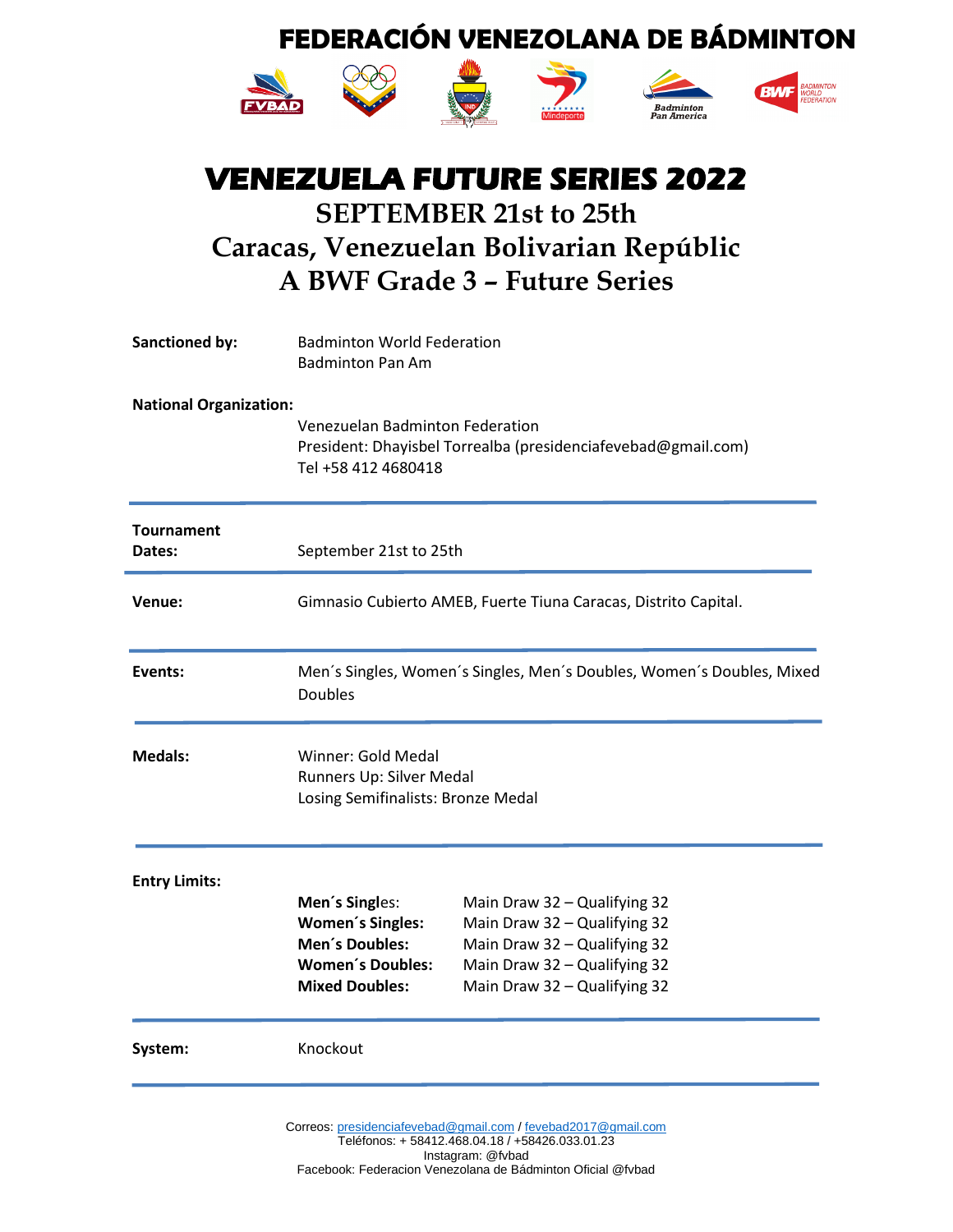

ř.







## **VENEZUELA FUTURE SERIES 2022 SEPTEMBER 21st to 25th Caracas, Venezuelan Bolivarian Repúblic A BWF Grade 3 – Future Series**

| <b>Sanctioned by:</b>         | <b>Badminton World Federation</b><br><b>Badminton Pan Am</b>                                                            |                                                                                                                                                              |
|-------------------------------|-------------------------------------------------------------------------------------------------------------------------|--------------------------------------------------------------------------------------------------------------------------------------------------------------|
| <b>National Organization:</b> | Venezuelan Badminton Federation<br>President: Dhayisbel Torrealba (presidenciafevebad@gmail.com)<br>Tel +58 412 4680418 |                                                                                                                                                              |
| <b>Tournament</b><br>Dates:   | September 21st to 25th                                                                                                  |                                                                                                                                                              |
| Venue:                        |                                                                                                                         | Gimnasio Cubierto AMEB, Fuerte Tiuna Caracas, Distrito Capital.                                                                                              |
| Events:                       | <b>Doubles</b>                                                                                                          | Men's Singles, Women's Singles, Men's Doubles, Women's Doubles, Mixed                                                                                        |
| <b>Medals:</b>                | Winner: Gold Medal<br>Runners Up: Silver Medal<br>Losing Semifinalists: Bronze Medal                                    |                                                                                                                                                              |
| <b>Entry Limits:</b>          | Men's Singles:<br><b>Women's Singles:</b><br>Men's Doubles:<br><b>Women's Doubles:</b><br><b>Mixed Doubles:</b>         | Main Draw 32 - Qualifying 32<br>Main Draw 32 - Qualifying 32<br>Main Draw 32 - Qualifying 32<br>Main Draw 32 - Qualifying 32<br>Main Draw 32 - Qualifying 32 |
| System:                       | Knockout                                                                                                                |                                                                                                                                                              |
|                               |                                                                                                                         |                                                                                                                                                              |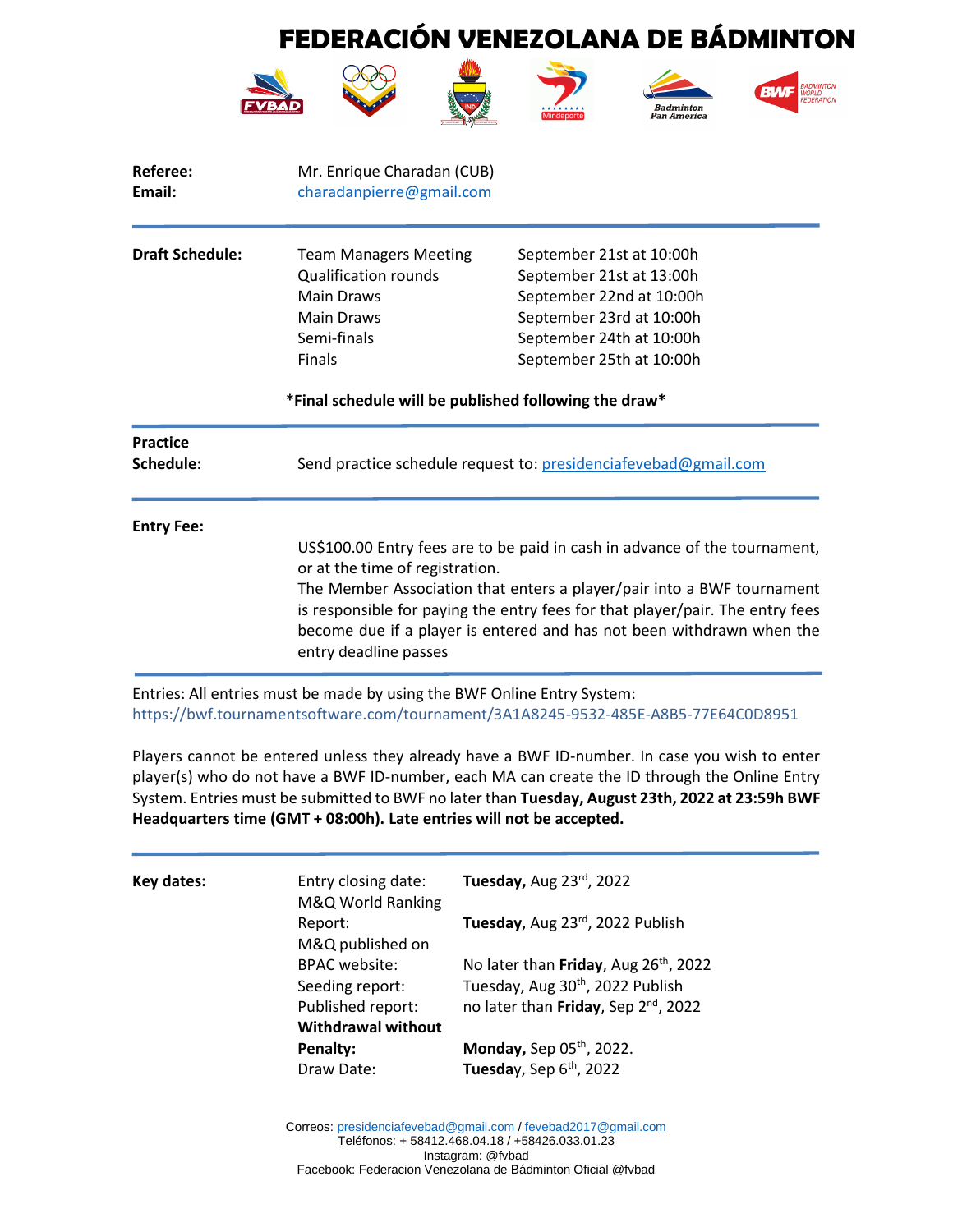

| Referee:<br>Email:           | Mr. Enrique Charadan (CUB)<br>charadanpierre@gmail.com                                                                                |                                                                                                                                                                                                                                                                                                                |
|------------------------------|---------------------------------------------------------------------------------------------------------------------------------------|----------------------------------------------------------------------------------------------------------------------------------------------------------------------------------------------------------------------------------------------------------------------------------------------------------------|
| <b>Draft Schedule:</b>       | <b>Team Managers Meeting</b><br><b>Qualification rounds</b><br><b>Main Draws</b><br><b>Main Draws</b><br>Semi-finals<br><b>Finals</b> | September 21st at 10:00h<br>September 21st at 13:00h<br>September 22nd at 10:00h<br>September 23rd at 10:00h<br>September 24th at 10:00h<br>September 25th at 10:00h                                                                                                                                           |
|                              | *Final schedule will be published following the draw*                                                                                 |                                                                                                                                                                                                                                                                                                                |
| <b>Practice</b><br>Schedule: |                                                                                                                                       | Send practice schedule request to: presidenciafevebad@gmail.com                                                                                                                                                                                                                                                |
| <b>Entry Fee:</b>            | or at the time of registration.<br>entry deadline passes                                                                              | US\$100.00 Entry fees are to be paid in cash in advance of the tournament,<br>The Member Association that enters a player/pair into a BWF tournament<br>is responsible for paying the entry fees for that player/pair. The entry fees<br>become due if a player is entered and has not been withdrawn when the |

Entries: All entries must be made by using the BWF Online Entry System: https://bwf.tournamentsoftware.com/tournament/3A1A8245-9532-485E-A8B5-77E64C0D8951

Players cannot be entered unless they already have a BWF ID-number. In case you wish to enter player(s) who do not have a BWF ID-number, each MA can create the ID through the Online Entry System. Entries must be submitted to BWF no later than **Tuesday, August 23th, 2022 at 23:59h BWF Headquarters time (GMT + 08:00h). Late entries will not be accepted.**

| Key dates: | Entry closing date:<br>M&Q World Ranking | Tuesday, Aug 23rd, 2022                           |  |
|------------|------------------------------------------|---------------------------------------------------|--|
|            | Report:<br>M&Q published on              | Tuesday, Aug 23rd, 2022 Publish                   |  |
|            | <b>BPAC</b> website:                     | No later than Friday, Aug 26 <sup>th</sup> , 2022 |  |
|            | Seeding report:                          | Tuesday, Aug 30th, 2022 Publish                   |  |
|            | Published report:                        | no later than Friday, Sep 2 <sup>nd</sup> , 2022  |  |
|            | <b>Withdrawal without</b>                |                                                   |  |
|            | Penalty:                                 | Monday, Sep $05th$ , 2022.                        |  |
|            | Draw Date:                               | Tuesday, Sep 6th, 2022                            |  |

Correos[: presidenciafevebad@gmail.com](mailto:presidenciafevebad@gmail.com) [/ fevebad2017@gmail.com](mailto:fevebad2017@gmail.com) Teléfonos: + 58412.468.04.18 / +58426.033.01.23 Instagram: @fvbad Facebook: Federacion Venezolana de Bádminton Oficial @fvbad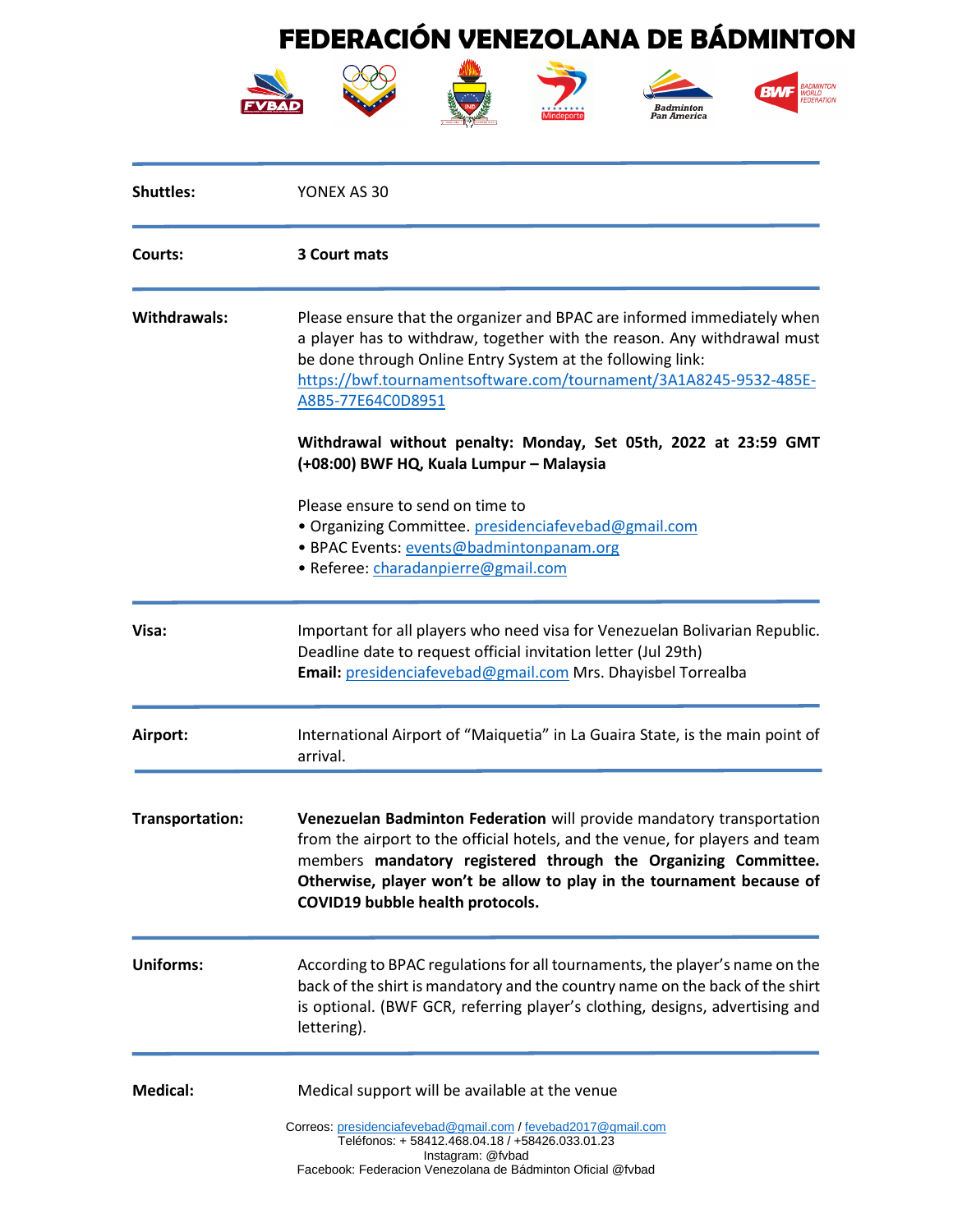

| <b>Shuttles:</b>    | YONEX AS 30                                                                                                                                                                                                                                                                                                                          |
|---------------------|--------------------------------------------------------------------------------------------------------------------------------------------------------------------------------------------------------------------------------------------------------------------------------------------------------------------------------------|
| Courts:             | 3 Court mats                                                                                                                                                                                                                                                                                                                         |
| <b>Withdrawals:</b> | Please ensure that the organizer and BPAC are informed immediately when<br>a player has to withdraw, together with the reason. Any withdrawal must<br>be done through Online Entry System at the following link:<br>https://bwf.tournamentsoftware.com/tournament/3A1A8245-9532-485E-<br>A8B5-77E64C0D8951                           |
|                     | Withdrawal without penalty: Monday, Set 05th, 2022 at 23:59 GMT<br>(+08:00) BWF HQ, Kuala Lumpur - Malaysia                                                                                                                                                                                                                          |
|                     | Please ensure to send on time to<br>· Organizing Committee. presidenciafevebad@gmail.com<br>· BPAC Events: events@badmintonpanam.org<br>· Referee: charadanpierre@gmail.com                                                                                                                                                          |
| Visa:               | Important for all players who need visa for Venezuelan Bolivarian Republic.<br>Deadline date to request official invitation letter (Jul 29th)<br>Email: presidenciafevebad@gmail.com Mrs. Dhayisbel Torrealba                                                                                                                        |
| Airport:            | International Airport of "Maiquetia" in La Guaira State, is the main point of<br>arrival.                                                                                                                                                                                                                                            |
| Transportation:     | Venezuelan Badminton Federation will provide mandatory transportation<br>from the airport to the official hotels, and the venue, for players and team<br>members mandatory registered through the Organizing Committee.<br>Otherwise, player won't be allow to play in the tournament because of<br>COVID19 bubble health protocols. |
| <b>Uniforms:</b>    | According to BPAC regulations for all tournaments, the player's name on the<br>back of the shirt is mandatory and the country name on the back of the shirt<br>is optional. (BWF GCR, referring player's clothing, designs, advertising and<br>lettering).                                                                           |
| <b>Medical:</b>     | Medical support will be available at the venue                                                                                                                                                                                                                                                                                       |
|                     | Correos: presidenciafevebad@gmail.com / fevebad2017@gmail.com<br>Teléfonos: + 58412.468.04.18 / +58426.033.01.23<br>Instagram: @fvbad<br>Facebook: Federacion Venezolana de Bádminton Oficial @fvbad                                                                                                                                 |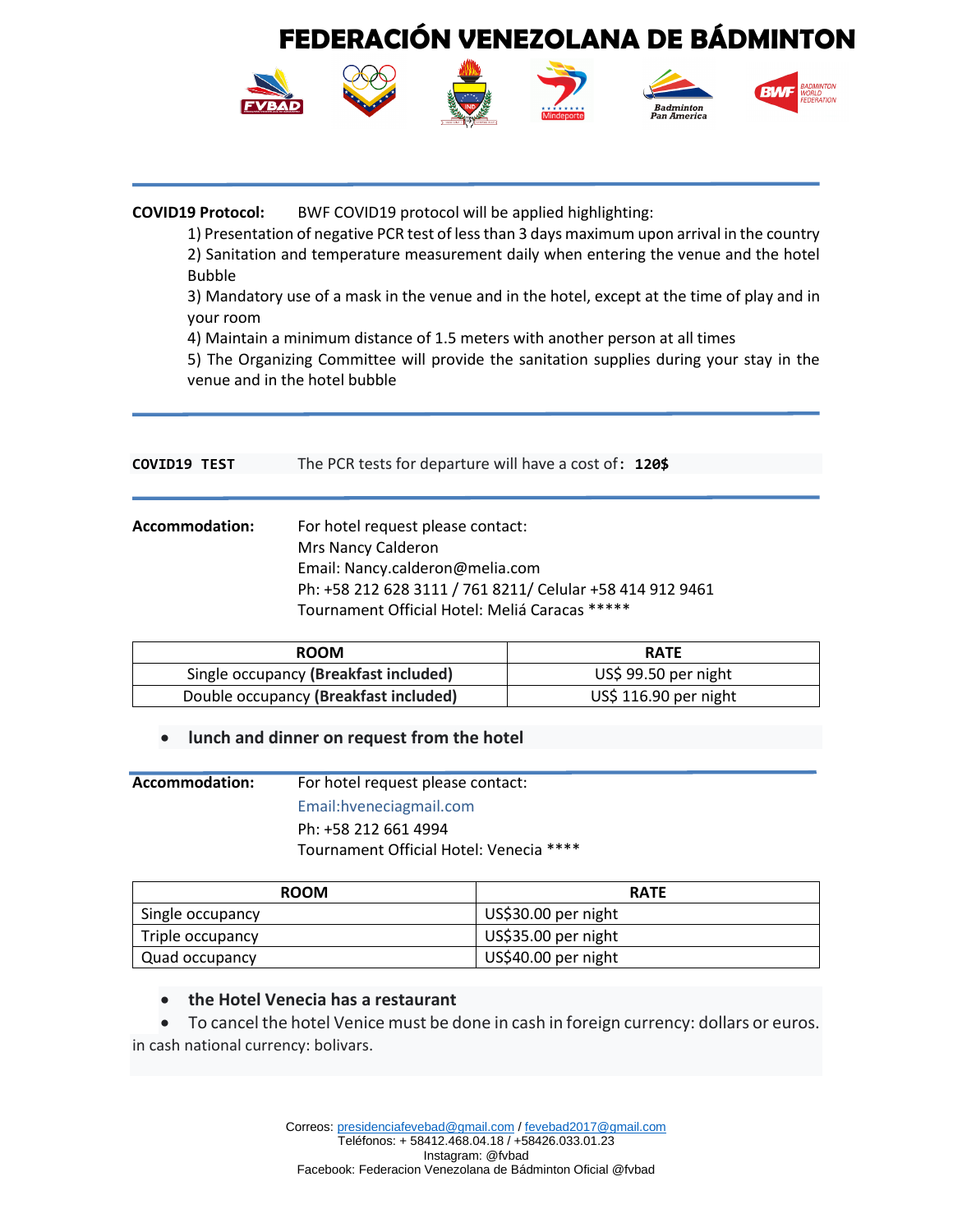

#### **COVID19 Protocol:** BWF COVID19 protocol will be applied highlighting:

1) Presentation of negative PCR test of less than 3 days maximum upon arrival in the country 2) Sanitation and temperature measurement daily when entering the venue and the hotel Bubble

3) Mandatory use of a mask in the venue and in the hotel, except at the time of play and in your room

4) Maintain a minimum distance of 1.5 meters with another person at all times

5) The Organizing Committee will provide the sanitation supplies during your stay in the venue and in the hotel bubble

| COVID19 TEST   | The PCR tests for departure will have a cost of: 120\$                                                                                                                                                    |
|----------------|-----------------------------------------------------------------------------------------------------------------------------------------------------------------------------------------------------------|
| Accommodation: | For hotel request please contact:<br>Mrs Nancy Calderon<br>Email: Nancy.calderon@melia.com<br>Ph: +58 212 628 3111 / 761 8211/ Celular +58 414 912 9461<br>Tournament Official Hotel: Meliá Caracas ***** |

| <b>ROOM</b>                           | <b>RATE</b>           |
|---------------------------------------|-----------------------|
| Single occupancy (Breakfast included) | US\$ 99.50 per night  |
| Double occupancy (Breakfast included) | US\$ 116.90 per night |

#### • **lunch and dinner on request from the hotel**

**Accommodation:** For hotel request please contact: Email:hveneciagmail.com Ph: +58 212 661 4994 Tournament Official Hotel: Venecia \*\*\*\*

| <b>ROOM</b>      | <b>RATE</b>         |
|------------------|---------------------|
| Single occupancy | US\$30.00 per night |
| Triple occupancy | US\$35.00 per night |
| Quad occupancy   | US\$40.00 per night |

#### • **the Hotel Venecia has a restaurant**

• To cancel the hotel Venice must be done in cash in foreign currency: dollars or euros. in cash national currency: bolivars.